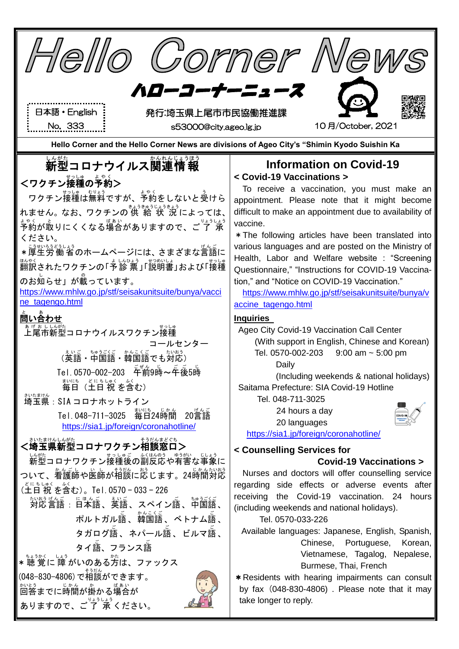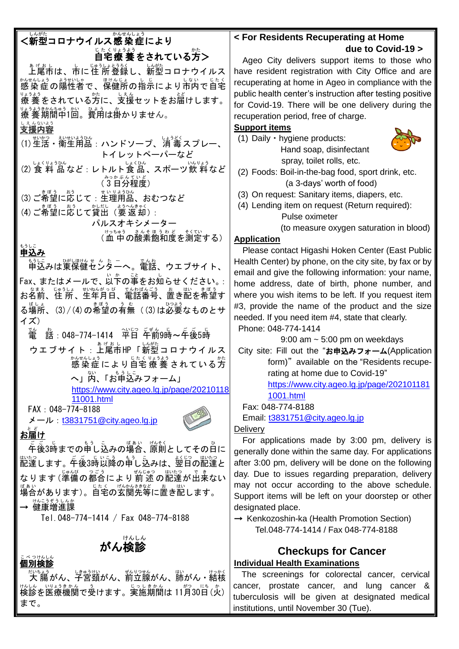| かんせんしょう                                                   |                                                                                                |
|-----------------------------------------------------------|------------------------------------------------------------------------------------------------|
| <新型コロナウイルス感 染 症により                                        | < For Residents Recuperating at Home                                                           |
| じたくりょうよう<br>自宅療 養 をされている方>                                | due to Covid-19 >                                                                              |
|                                                           | Ageo City delivers support items to those who                                                  |
| ぁ <sub>げぁし</sub><br>上尾市は、市に住 所 登録し、新型コロナウイルス<br>ようせいしゃ    | have resident registration with City Office and are                                            |
| ゕ、ŧ、、レょう ょぅŧトトレキ。<br>感染症の陽性者で、保健所の指示により市内で自宅              | recuperating at home in Ageo in compliance with the                                            |
| <sub>まうよう</sub><br>療 養 をされている方に、支援セットをお届けします。             | public health center's instruction after testing positive                                      |
|                                                           | for Covid-19. There will be one delivery during the                                            |
| えんないよう                                                    | recuperation period, free of charge.                                                           |
| 支援内容                                                      | <b>Support items</b>                                                                           |
| トイレットペーパーなど                                               | (1) Daily · hygiene products:<br>Hand soap, disinfectant                                       |
| (2) 食 料 品 など : レトルト食品、スポーツ飲 料 など                          | spray, toilet rolls, etc.                                                                      |
| みっかぶんてい                                                   | (2) Foods: Boil-in-the-bag food, sport drink, etc.                                             |
| (3日分程度)                                                   | (a 3-days' worth of food)                                                                      |
| (3) ご希望に応じて: 生理用品、おむつなど                                   | (3) On request: Sanitary items, diapers, etc.                                                  |
| (4) ご希望に応じて貸出 (要返却):                                      | (4) Lending item on request (Return required):                                                 |
| パルスオキシメーター                                                | Pulse oximeter                                                                                 |
| (血中の酸素飽和度を測定する)                                           | (to measure oxygen saturation in blood)                                                        |
| もうしこ                                                      | <b>Application</b>                                                                             |
| 申込み                                                       | Please contact Higashi Hoken Center (East Public                                               |
| もまして<br>申込みは東保健センターへ。電話、ウエブサイト、                           | Health Center) by phone, on the city site, by fax or by                                        |
| Fax、またはメールで、以下の事をお知らせください。:                               | email and give the following information: your name,                                           |
|                                                           | home address, date of birth, phone number, and                                                 |
|                                                           | where you wish items to be left. If you request item                                           |
| る場所、(3)/(4)の希望の有無 ((3)は必要なものとサ                            | #3, provide the name of the product and the size                                               |
| イズ)                                                       | needed. If you need item #4, state that clearly.<br>Phone: 048-774-1414                        |
| 嚣: 048-774-1414                      素<br>亂               | $9:00$ am $\sim 5:00$ pm on weekdays                                                           |
| ゥェブサイト: <sup>゙゙゙゚ゕゖぉ</sup> ゖゖヿ゙ <sup>ゖゕ</sup> ゚゠゠ゖヷイルス    | City site: Fill out the "お申込みフォーム(Application                                                  |
| ゕ{#{、Lょう<br>感染症により自宅療養されている方                              | form)" available on the "Residents recupe-                                                     |
|                                                           | rating at home due to Covid-19"                                                                |
| へ」内、「お申込みフォーム」                                            | https://www.city.ageo.lg.jp/page/202101181                                                     |
| https://www.city.ageo.lg.jp/page/20210118                 | 1001.html                                                                                      |
| 11001.html<br>FAX: 048-774-8188                           | Fax: 048-774-8188                                                                              |
| メール: <u>t3831751@city.ageo.lg.jp</u>                      | Email: t3831751@city.ageo.lg.jp                                                                |
| ٹا ط                                                      | Delivery                                                                                       |
| お届け                                                       | For applications made by 3:00 pm, delivery is                                                  |
| 「年後3時までの申し込みの場合、原則としてその白に                                 | generally done within the same day. For applications                                           |
| 「かたっ<br>配達します。午後3時以降の申し込みは、翌日の配達と                         | after 3:00 pm, delivery will be done on the following                                          |
| なります(準備の都合により前述の配達が出来ない                                   | day. Due to issues regarding preparation, delivery                                             |
|                                                           | may not occur according to the above schedule.                                                 |
| <u>場</u> 。<br>場合があります)。自宅の玄関先等に置き配します。                    | Support items will be left on your doorstep or other                                           |
| → 健康増進課                                                   | designated place.                                                                              |
| Tel. 048-774-1414 / Fax 048-774-8188                      | $\rightarrow$ Kenkozoshin-ka (Health Promotion Section)                                        |
|                                                           | Tel.048-774-1414 / Fax 048-774-8188                                                            |
| がん検診                                                      |                                                                                                |
| こべ つけんしん                                                  | <b>Checkups for Cancer</b>                                                                     |
| 個別検診                                                      | <b>Individual Health Examinations</b>                                                          |
| <sub>だいちょう</sub><br>大 腸がん、子宮頚がん、前立腺がん、肺がん・結核              | The screenings for colorectal cancer, cervical                                                 |
| <sub>はんしん。いょうきかん。う</sub><br>検診を医療機関で受けます。実施期間は 11月30日 (火) | cancer, prostate cancer, and lung cancer &<br>tuberculosis will be given at designated medical |
| まで。                                                       | institutions, until November 30 (Tue).                                                         |
|                                                           |                                                                                                |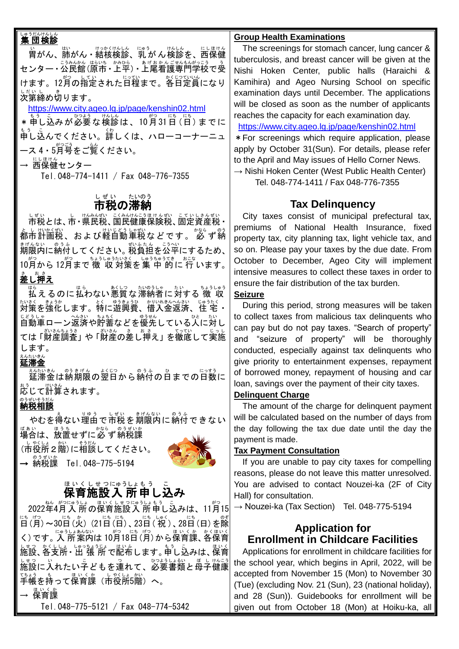### いゅうだんけんしん<br>**集 団検診**

、。<br>胄がん、肺がん・結核検診、乳がん検診を、西保健 センター • 公民館 (原市 • 上平) • 上尾看護専門学校で受 けます。12月の指定された日程まで。各日定員になり しだいし<br>**次第締め切ります。** 

#### <https://www.city.ageo.lg.jp/page/kenshin02.html>

\* 申し込みが必要な検診は、10月31日 (日) までに 。。<br>申し込んでください。詳しくは、ハローコーナーニュ —ス 4・5月号をご覧ください。

→ 远保健センター

Tel.048-774-1411 / Fax 048-776-7355

## し<sub>ぜいのたいのう</sub><br>**市税の滞納**

しぜい。こんはんころもはんざい。こていしきんぜい<br>市税とは、市・県民税、国民健康保険税、固定資産税・ としけいくむ、および軽自動車税などです。 必 ず納 ま<sub>げんない のうふ</sub><br>期限内に納付してください。税負担を公平にするため、 .10月から 12月まで 徴 収 対策を集 中 的に 行 います。 。<br>差し押え

は。<br>払えるのに払わない悪質な滞納者に対する 徴 収 <u>おはく、まょうか、おいれきんへんさい、じゅうたく</u><br>対策を強化します。特に遊興費、借入金返済、住 宅・ 自動車 じどうしゃ ローン返済 へんさい や貯蓄 ちょちく などを優先 ゆうせん している人 ひと に対 たい し ては「財産調査」や「財産の差し調え」を徹底して実施 します。

## <sub>ぇんたいきん</sub><br>延滞金

<u>ぇんたいきん。のうまでの</u>日数に<br>延滞金は納期限の翌日から納付の日までの日数に \*ぅ 。<br>応じて計算されます。

## 。<sub>。ませいそうだん</sub><br>**納税相談**

やむを得ない理由で市税を期限内に納付できない <sub>ばぁぃ</sub><br>場合は、放置せずに必 ず納税課 (市役所2階)に相談してください。

— <sup>ை#</sup>;<br>→ 納税課 Tel.048-775-5194



# ほいくしせっにゅうしまう。こ<br>**保育施設入 所申し込み**

2022年4月入所の保育施設入所申し込みは、11月15 [古 (月) ~30日(次) (21日 (日)、23日 (祝)、28日 (日) を除 く)です。「人所案内は 10月18日(月)から保育課、各保育 施設 しせつ 、各支所 かくししょ ・出 張 所 しゅっちょうじょ で配布 はいふ します。申し込み も う こ は、保育 ほいく しまっ<br>施設に入れたい子どもを連れて、必要書類と母子健康 <u>で。。</u><br>手帳を持って保育課(市役所5階)へ。

→ 保育課 ほいくか

Tel.048-775-5121 / Fax 048-774-5342

#### **Group Health Examinations**

The screenings for stomach cancer, lung cancer & tuberculosis, and breast cancer will be given at the Nishi Hoken Center, public halls (Haraichi & Kamihira) and Ageo Nursing School on specific examination days until December. The applications will be closed as soon as the number of applicants reaches the capacity for each examination day. <https://www.city.ageo.lg.jp/page/kenshin02.html> \*For screenings which require application, please apply by October 31(Sun). For details, please refer

to the April and May issues of Hello Corner News.  $\rightarrow$  Nishi Hoken Center (West Public Health Center)

Tel. 048-774-1411 / Fax 048-776-7355

## **Tax Delinquency**

City taxes consist of municipal prefectural tax, premiums of National Health Insurance, fixed property tax, city planning tax, light vehicle tax, and so on. Please pay your taxes by the due date. From October to December, Ageo City will implement intensive measures to collect these taxes in order to ensure the fair distribution of the tax burden.

#### **Seizure**

 During this period, strong measures will be taken to collect taxes from malicious tax delinquents who can pay but do not pay taxes. "Search of property" and "seizure of property" will be thoroughly conducted, especially against tax delinquents who give priority to entertainment expenses, repayment of borrowed money, repayment of housing and car loan, savings over the payment of their city taxes.

#### **Delinquent Charge**

 The amount of the charge for delinquent payment will be calculated based on the number of days from the day following the tax due date until the day the payment is made.

#### **Tax Payment Consultation**

If you are unable to pay city taxes for compelling reasons, please do not leave this matter unresolved. You are advised to contact Nouzei-ka (2F of City Hall) for consultation.

 $\rightarrow$  Nouzei-ka (Tax Section) Tel. 048-775-5194

## **Application for Enrollment in Childcare Facilities**

Applications for enrollment in childcare facilities for the school year, which begins in April, 2022, will be accepted from November 15 (Mon) to November 30 (Tue) (excluding Nov. 21 (Sun), 23 (national holiday), and 28 (Sun)). Guidebooks for enrollment will be given out from October 18 (Mon) at Hoiku-ka, all